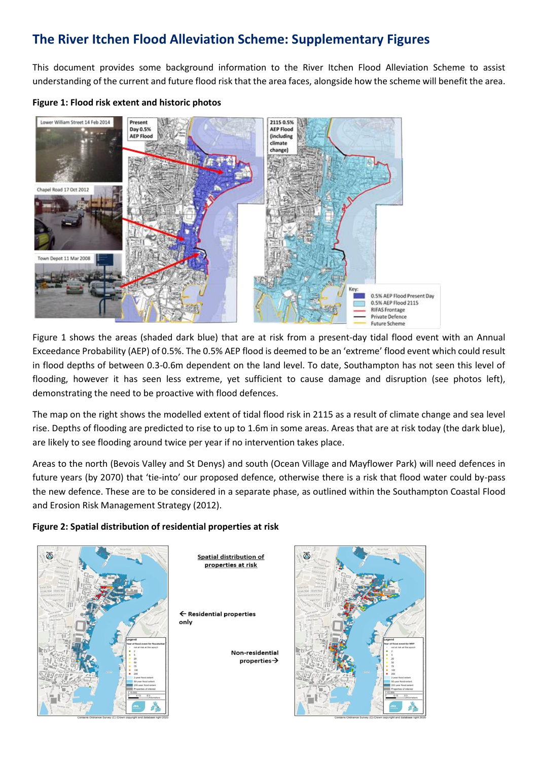## **The River Itchen Flood Alleviation Scheme: Supplementary Figures**

This document provides some background information to the River Itchen Flood Alleviation Scheme to assist understanding of the current and future flood risk that the area faces, alongside how the scheme will benefit the area.

## **Figure 1: Flood risk extent and historic photos**



Figure 1 shows the areas (shaded dark blue) that are at risk from a present-day tidal flood event with an Annual Exceedance Probability (AEP) of 0.5%. The 0.5% AEP flood is deemed to be an 'extreme' flood event which could result in flood depths of between 0.3-0.6m dependent on the land level. To date, Southampton has not seen this level of flooding, however it has seen less extreme, yet sufficient to cause damage and disruption (see photos left), demonstrating the need to be proactive with flood defences.

The map on the right shows the modelled extent of tidal flood risk in 2115 as a result of climate change and sea level rise. Depths of flooding are predicted to rise to up to 1.6m in some areas. Areas that are at risk today (the dark blue), are likely to see flooding around twice per year if no intervention takes place.

Areas to the north (Bevois Valley and St Denys) and south (Ocean Village and Mayflower Park) will need defences in future years (by 2070) that 'tie-into' our proposed defence, otherwise there is a risk that flood water could by-pass the new defence. These are to be considered in a separate phase, as outlined within the Southampton Coastal Flood and Erosion Risk Management Strategy (2012).

## **Figure 2: Spatial distribution of residential properties at risk**



**Spatial distribution of** properties at risk

← Residential properties only

> Non-residential  $properties \rightarrow$

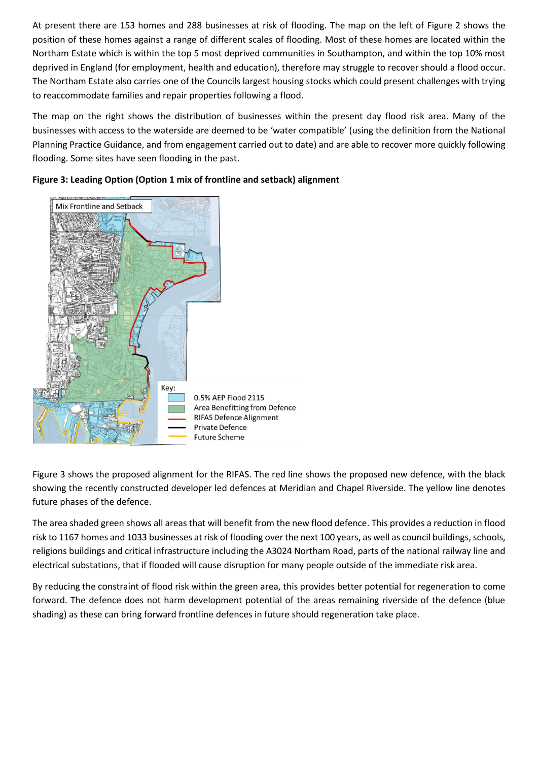At present there are 153 homes and 288 businesses at risk of flooding. The map on the left of Figure 2 shows the position of these homes against a range of different scales of flooding. Most of these homes are located within the Northam Estate which is within the top 5 most deprived communities in Southampton, and within the top 10% most deprived in England (for employment, health and education), therefore may struggle to recover should a flood occur. The Northam Estate also carries one of the Councils largest housing stocks which could present challenges with trying to reaccommodate families and repair properties following a flood.

The map on the right shows the distribution of businesses within the present day flood risk area. Many of the businesses with access to the waterside are deemed to be 'water compatible' (using the definition from the National Planning Practice Guidance, and from engagement carried out to date) and are able to recover more quickly following flooding. Some sites have seen flooding in the past.



**Figure 3: Leading Option (Option 1 mix of frontline and setback) alignment**

Figure 3 shows the proposed alignment for the RIFAS. The red line shows the proposed new defence, with the black showing the recently constructed developer led defences at Meridian and Chapel Riverside. The yellow line denotes future phases of the defence.

The area shaded green shows all areas that will benefit from the new flood defence. This provides a reduction in flood risk to 1167 homes and 1033 businesses at risk of flooding over the next 100 years, as well as council buildings, schools, religions buildings and critical infrastructure including the A3024 Northam Road, parts of the national railway line and electrical substations, that if flooded will cause disruption for many people outside of the immediate risk area.

By reducing the constraint of flood risk within the green area, this provides better potential for regeneration to come forward. The defence does not harm development potential of the areas remaining riverside of the defence (blue shading) as these can bring forward frontline defences in future should regeneration take place.